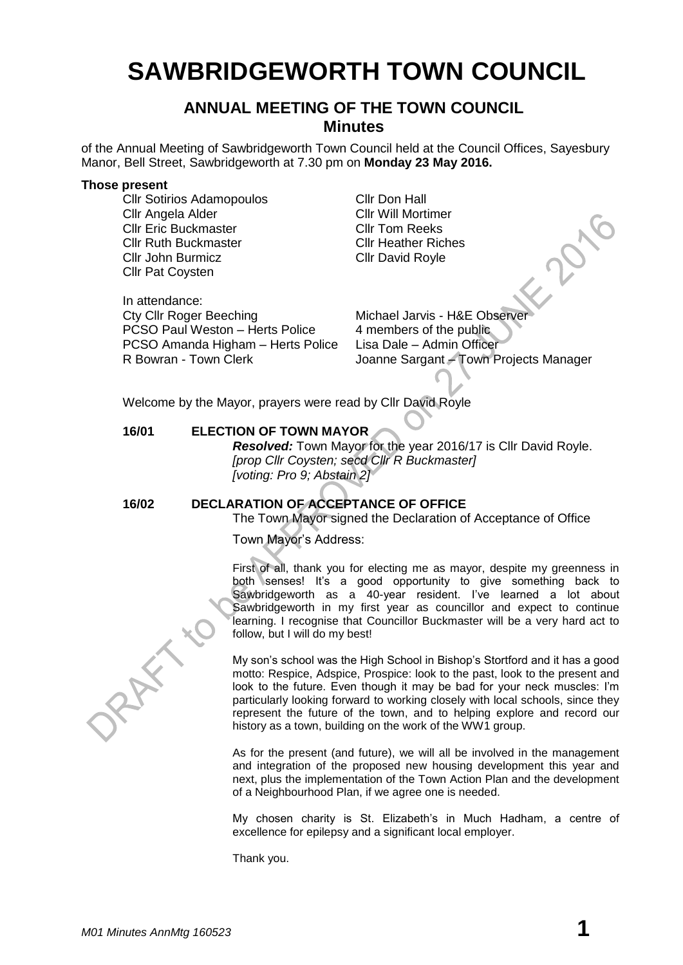# **SAWBRIDGEWORTH TOWN COUNCIL**

# **ANNUAL MEETING OF THE TOWN COUNCIL Minutes**

of the Annual Meeting of Sawbridgeworth Town Council held at the Council Offices, Sayesbury Manor, Bell Street, Sawbridgeworth at 7.30 pm on **Monday 23 May 2016.**

#### **Those present**

Cllr Sotirios Adamopoulos Cllr Don Hall Cllr Angela Alder Cllr Will Mortimer Cllr Eric Buckmaster Cllr Tom Reeks **Cllr Ruth Buckmaster Cllr Heather Riches** Cllr John Burmicz Cllr David Royle Cllr Pat Coysten Cultr Pat Coysten<br>
Cultr Pat Coysten<br>
Cultr David Royle<br>
Cultr David Royle<br>
Cultr Roger Beeching<br>
Michael Jarvis - H&E Observer

In attendance: PCSO Paul Weston – Herts Police 4 members of the public PCSO Amanda Higham – Herts Police Lisa Dale – Admin Officer

R Bowran - Town Clerk **Joanne Sargant – Town Projects Manager** 

Welcome by the Mayor, prayers were read by Cllr David Royle

#### **16/01 ELECTION OF TOWN MAYOR**

*Resolved:* Town Mayor for the year 2016/17 is Cllr David Royle. *[prop Cllr Coysten; secd Cllr R Buckmaster] [voting: Pro 9; Abstain 2]*

#### **16/02 DECLARATION OF ACCEPTANCE OF OFFICE**

The Town Mayor signed the Declaration of Acceptance of Office

Town Mayor's Address:

First of all, thank you for electing me as mayor, despite my greenness in both senses! It's a good opportunity to give something back to Sawbridgeworth as a 40-year resident. I've learned a lot about Sawbridgeworth in my first year as councillor and expect to continue learning. I recognise that Councillor Buckmaster will be a very hard act to follow, but I will do my best!

My son's school was the High School in Bishop's Stortford and it has a good motto: Respice, Adspice, Prospice: look to the past, look to the present and look to the future. Even though it may be bad for your neck muscles: I'm particularly looking forward to working closely with local schools, since they represent the future of the town, and to helping explore and record our history as a town, building on the work of the WW1 group.

As for the present (and future), we will all be involved in the management and integration of the proposed new housing development this year and next, plus the implementation of the Town Action Plan and the development of a Neighbourhood Plan, if we agree one is needed.

My chosen charity is St. Elizabeth's in Much Hadham, a centre of excellence for epilepsy and a significant local employer.

Thank you.

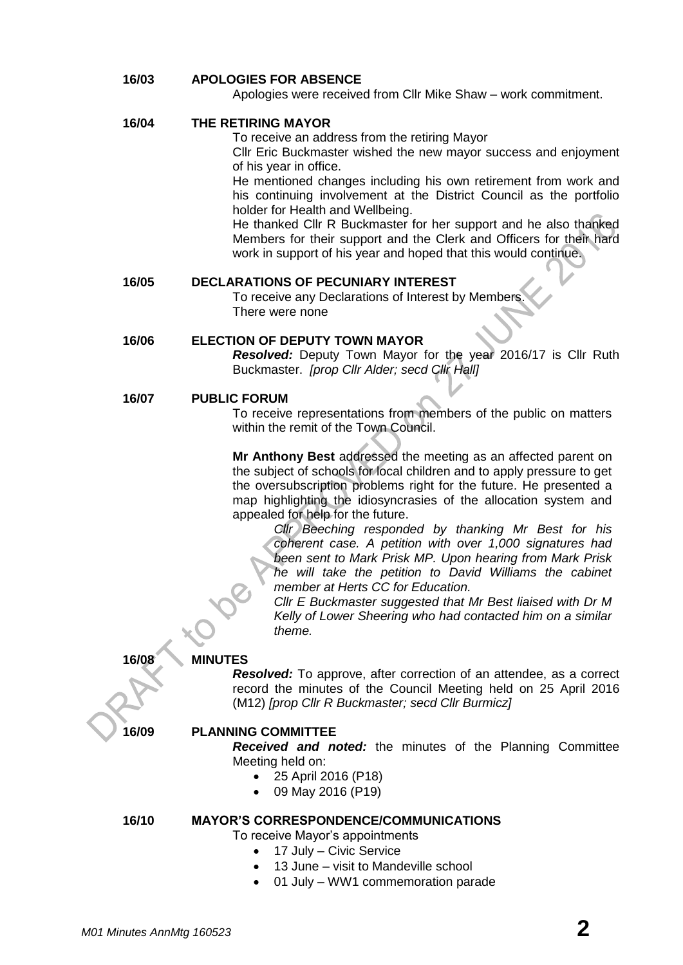#### **16/03 APOLOGIES FOR ABSENCE**

Apologies were received from Cllr Mike Shaw – work commitment.

#### **16/04 THE RETIRING MAYOR**

To receive an address from the retiring Mayor

Cllr Eric Buckmaster wished the new mayor success and enjoyment of his year in office.

He mentioned changes including his own retirement from work and his continuing involvement at the District Council as the portfolio holder for Health and Wellbeing.

He thanked Cllr R Buckmaster for her support and he also thanked Members for their support and the Clerk and Officers for their hard work in support of his year and hoped that this would continue.

#### **16/05 DECLARATIONS OF PECUNIARY INTEREST**

To receive any Declarations of Interest by Members. There were none

#### **16/06 ELECTION OF DEPUTY TOWN MAYOR**

*Resolved:* Deputy Town Mayor for the year 2016/17 is Cllr Ruth Buckmaster. *[prop Cllr Alder; secd Cllr Hall]*

#### **16/07 PUBLIC FORUM**

To receive representations from members of the public on matters within the remit of the Town Council.

**Mr Anthony Best** addressed the meeting as an affected parent on the subject of schools for local children and to apply pressure to get the oversubscription problems right for the future. He presented a map highlighting the idiosyncrasies of the allocation system and appealed for help for the future.

*Cllr Beeching responded by thanking Mr Best for his coherent case. A petition with over 1,000 signatures had been sent to Mark Prisk MP. Upon hearing from Mark Prisk he will take the petition to David Williams the cabinet member at Herts CC for Education.*

*Cllr E Buckmaster suggested that Mr Best liaised with Dr M Kelly of Lower Sheering who had contacted him on a similar theme.*

#### **16/08 MINUTES**

*Resolved:* To approve, after correction of an attendee, as a correct record the minutes of the Council Meeting held on 25 April 2016 (M12) *[prop Cllr R Buckmaster; secd Cllr Burmicz]*

#### **16/09 PLANNING COMMITTEE**

*Received and noted:* the minutes of the Planning Committee Meeting held on:

- 25 April 2016 (P18)
- 09 May 2016 (P19)

**16/10 MAYOR'S CORRESPONDENCE/COMMUNICATIONS**

To receive Mayor's appointments

- 17 July Civic Service
- 13 June visit to Mandeville school
- 01 July WW1 commemoration parade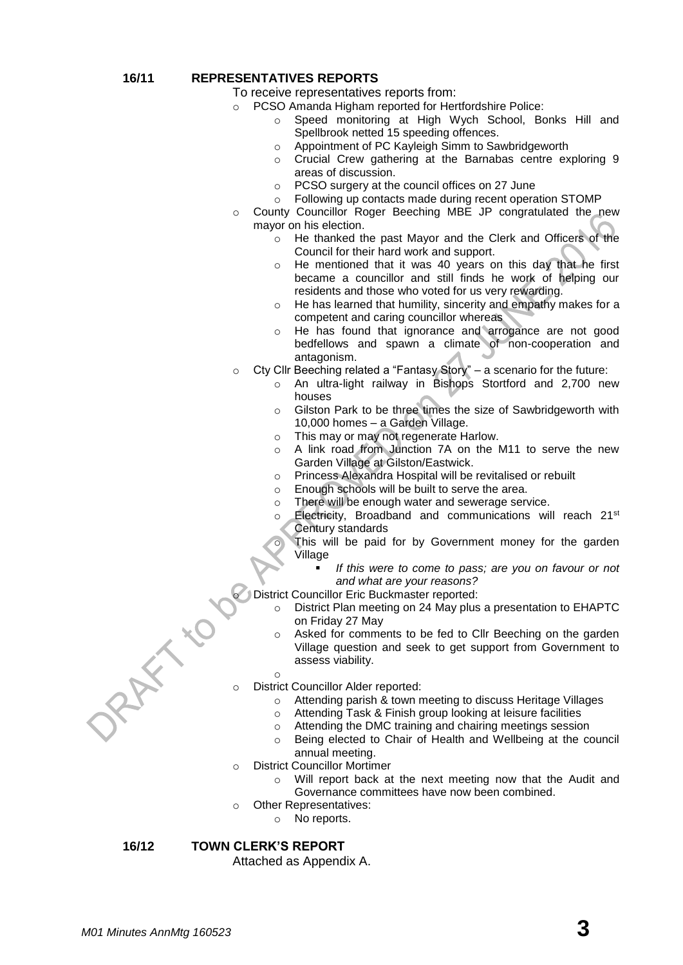#### **16/11 REPRESENTATIVES REPORTS**

To receive representatives reports from:

- o PCSO Amanda Higham reported for Hertfordshire Police:
	- o Speed monitoring at High Wych School, Bonks Hill and Spellbrook netted 15 speeding offences.
	- o Appointment of PC Kayleigh Simm to Sawbridgeworth
	- o Crucial Crew gathering at the Barnabas centre exploring 9 areas of discussion.
	- o PCSO surgery at the council offices on 27 June
	- o Following up contacts made during recent operation STOMP
- County Councillor Roger Beeching MBE JP congratulated the new mayor on his election.
	- He thanked the past Mayor and the Clerk and Officers of the Council for their hard work and support.
	- o He mentioned that it was 40 years on this day that he first became a councillor and still finds he work of helping our residents and those who voted for us very rewarding.
	- o He has learned that humility, sincerity and empathy makes for a competent and caring councillor whereas
	- o He has found that ignorance and arrogance are not good bedfellows and spawn a climate of non-cooperation and antagonism.
- o Cty Cllr Beeching related a "Fantasy Story" a scenario for the future:
	- o An ultra-light railway in Bishops Stortford and 2,700 new houses
	- o Gilston Park to be three times the size of Sawbridgeworth with 10,000 homes – a Garden Village.
	- o This may or may not regenerate Harlow.
	- o A link road from Junction 7A on the M11 to serve the new Garden Village at Gilston/Eastwick.
	- o Princess Alexandra Hospital will be revitalised or rebuilt
	- o Enough schools will be built to serve the area.
	- o There will be enough water and sewerage service.
	- Electricity, Broadband and communications will reach 21<sup>st</sup> Century standards
	- This will be paid for by Government money for the garden Village
		- *If this were to come to pass; are you on favour or not and what are your reasons?*

District Councillor Eric Buckmaster reported:

- o District Plan meeting on 24 May plus a presentation to EHAPTC on Friday 27 May
- o Asked for comments to be fed to Cllr Beeching on the garden Village question and seek to get support from Government to assess viability.
- o
- District Councillor Alder reported:
	- o Attending parish & town meeting to discuss Heritage Villages
	- o Attending Task & Finish group looking at leisure facilities
	- o Attending the DMC training and chairing meetings session
	- o Being elected to Chair of Health and Wellbeing at the council annual meeting.
- o District Councillor Mortimer
	- o Will report back at the next meeting now that the Audit and Governance committees have now been combined.
- o Other Representatives:
	- o No reports.

#### **16/12 TOWN CLERK'S REPORT**

Attached as Appendix A.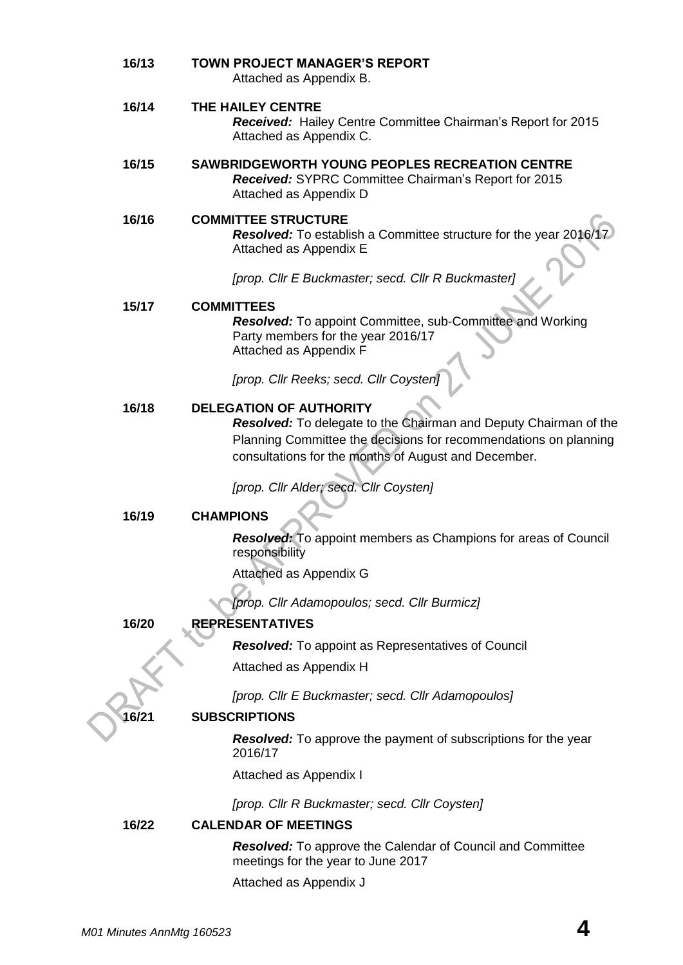| 16/13 | <b>TOWN PROJECT MANAGER'S REPORT</b><br>Attached as Appendix B.                                                                                                                                                                |  |  |  |
|-------|--------------------------------------------------------------------------------------------------------------------------------------------------------------------------------------------------------------------------------|--|--|--|
| 16/14 | THE HAILEY CENTRE<br>Received: Hailey Centre Committee Chairman's Report for 2015<br>Attached as Appendix C.                                                                                                                   |  |  |  |
| 16/15 | SAWBRIDGEWORTH YOUNG PEOPLES RECREATION CENTRE<br>Received: SYPRC Committee Chairman's Report for 2015<br>Attached as Appendix D                                                                                               |  |  |  |
| 16/16 | <b>COMMITTEE STRUCTURE</b><br>Resolved: To establish a Committee structure for the year 2016/<br>Attached as Appendix E                                                                                                        |  |  |  |
|       | [prop. Cllr E Buckmaster; secd. Cllr R Buckmaster]                                                                                                                                                                             |  |  |  |
| 15/17 | <b>COMMITTEES</b><br><b>Resolved:</b> To appoint Committee, sub-Committee and Working<br>Party members for the year 2016/17<br>Attached as Appendix F                                                                          |  |  |  |
|       | [prop. Cllr Reeks; secd. Cllr Coysten]                                                                                                                                                                                         |  |  |  |
| 16/18 | <b>DELEGATION OF AUTHORITY</b><br>Resolved: To delegate to the Chairman and Deputy Chairman of the<br>Planning Committee the decisions for recommendations on planning<br>consultations for the months of August and December. |  |  |  |
|       | [prop. Cllr Alder; secd. Cllr Coysten]                                                                                                                                                                                         |  |  |  |
| 16/19 | <b>CHAMPIONS</b>                                                                                                                                                                                                               |  |  |  |
|       | <b>Resolved:</b> To appoint members as Champions for areas of Council<br>responsibility                                                                                                                                        |  |  |  |
|       | Attached as Appendix G                                                                                                                                                                                                         |  |  |  |
|       | [prop. Cllr Adamopoulos; secd. Cllr Burmicz]                                                                                                                                                                                   |  |  |  |
| 16/20 | <b>REPRESENTATIVES</b>                                                                                                                                                                                                         |  |  |  |
|       | <b>Resolved:</b> To appoint as Representatives of Council                                                                                                                                                                      |  |  |  |
|       | Attached as Appendix H                                                                                                                                                                                                         |  |  |  |
|       | [prop. Cllr E Buckmaster; secd. Cllr Adamopoulos]                                                                                                                                                                              |  |  |  |
| 16/21 | <b>SUBSCRIPTIONS</b>                                                                                                                                                                                                           |  |  |  |
|       | <b>Resolved:</b> To approve the payment of subscriptions for the year<br>2016/17                                                                                                                                               |  |  |  |
|       | Attached as Appendix I                                                                                                                                                                                                         |  |  |  |
|       | [prop. Cllr R Buckmaster; secd. Cllr Coysten]                                                                                                                                                                                  |  |  |  |
| 16/22 | <b>CALENDAR OF MEETINGS</b>                                                                                                                                                                                                    |  |  |  |
|       | <b>Resolved:</b> To approve the Calendar of Council and Committee<br>meetings for the year to June 2017                                                                                                                        |  |  |  |
|       | Attached as Appendix J                                                                                                                                                                                                         |  |  |  |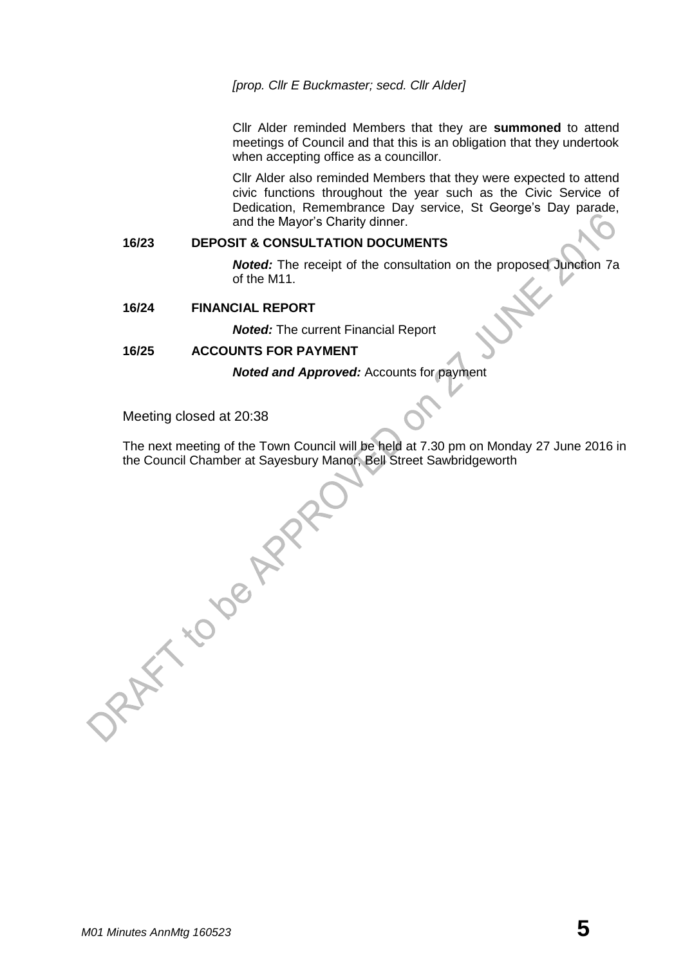#### *[prop. Cllr E Buckmaster; secd. Cllr Alder]*

Cllr Alder reminded Members that they are **summoned** to attend meetings of Council and that this is an obligation that they undertook when accepting office as a councillor.

Cllr Alder also reminded Members that they were expected to attend civic functions throughout the year such as the Civic Service of Dedication, Remembrance Day service, St George's Day parade, and the Mayor's Charity dinner.

#### **16/23 DEPOSIT & CONSULTATION DOCUMENTS**

*Noted:* The receipt of the consultation on the proposed Junction 7a of the M11.

#### **16/24 FINANCIAL REPORT**

*Noted:* The current Financial Report

#### **16/25 ACCOUNTS FOR PAYMENT**

*Noted and Approved:* Accounts for payment

Meeting closed at 20:38

The next meeting of the Town Council will be held at 7.30 pm on Monday 27 June 2016 in the Council Chamber at Sayesbury Manor, Bell Street Sawbridgeworth<br>
All Street Sawbridgeworth<br>
All Street Sawbridgeworth<br>
All Street Sawbridgeworth<br>
All Street Sawbridgeworth<br>
All Street Sawbridgeworth<br>
All Street Sawbridg

*M01 Minutes AnnMtg 160523* **5**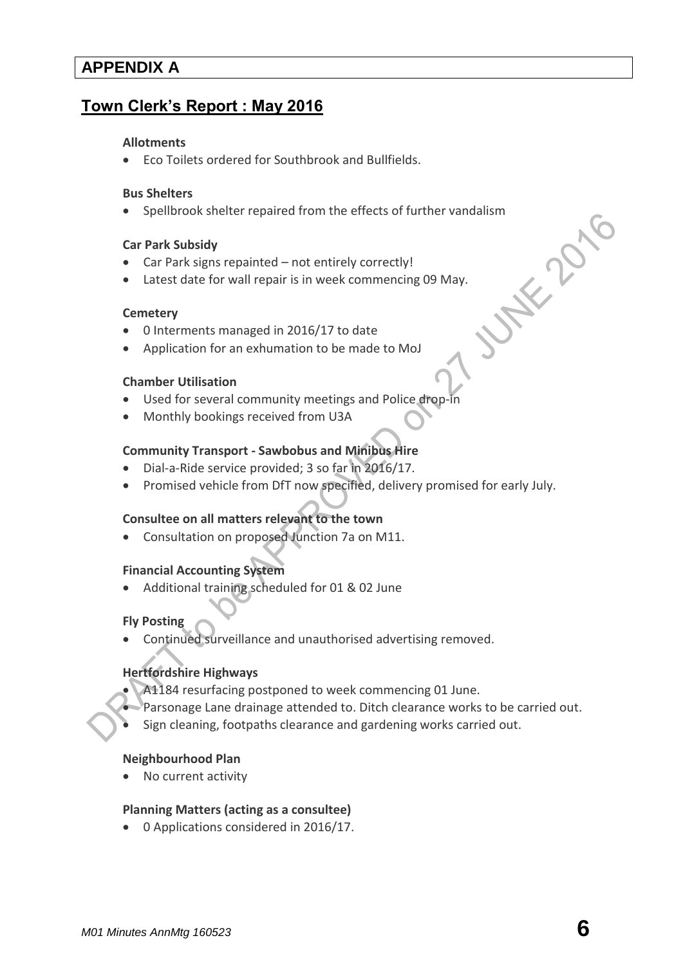# **APPENDIX A**

# **Town Clerk's Report : May 2016**

#### **[Allotments](http://www.sawbridgeworth-tc.gov.uk/town-information/town-council-services/allotments)**

Eco Toilets ordered for Southbrook and Bullfields.

#### **Bus Shelters**

Spellbrook shelter repaired from the effects of further vandalism<br>
Car Park Subsidy<br>
Car Park signs repainted – not entirely correctly!<br>
Latest date for wall repair is in week commencing 09 May.<br>
Cemetery<br>
0 Interments man

#### **Car Park Subsidy**

- Car Park signs repainted not entirely correctly!
- Latest date for wall repair is in week commencing 09 May.

#### **[Cemetery](http://www.sawbridgeworth-tc.gov.uk/town-information/town-council-services/cemetery)**

- 0 Interments managed in 2016/17 to date
- Application for an exhumation to be made to MoJ

#### **Chamber Utilisation**

- Used for several community meetings and Police drop
- Monthly bookings received from U3A

#### **Community Transport - [Sawbobus](http://www.sawbridgeworth-tc.gov.uk/town-information/town-council-services/sawbobus) an[d Minibus Hire](http://www.sawbridgeworth-tc.gov.uk/town-information/town-council-services/minibus-hire)**

- Dial-a-Ride service provided; 3 so far in 2016/17.
- Promised vehicle from DfT now specified, delivery promised for early July.

#### **Consultee on all matters relevant to the town**

Consultation on proposed Junction 7a on M11.

#### **Financial Accounting System**

Additional training scheduled for 01 & 02 June

#### **Fly Posting**

Continued surveillance and unauthorised advertising removed.

#### **Hertfordshire Highways**

- A1184 resurfacing postponed to week commencing 01 June.
- Parsonage Lane drainage attended to. Ditch clearance works to be carried out.
- Sign cleaning, footpaths clearance and gardening works carried out.

#### **Neighbourhood Plan**

No current activity

#### **[Planning Matters \(acting as a consultee\)](http://www.sawbridgeworth-tc.gov.uk/town-council/planning)**

• 0 Applications considered in 2016/17.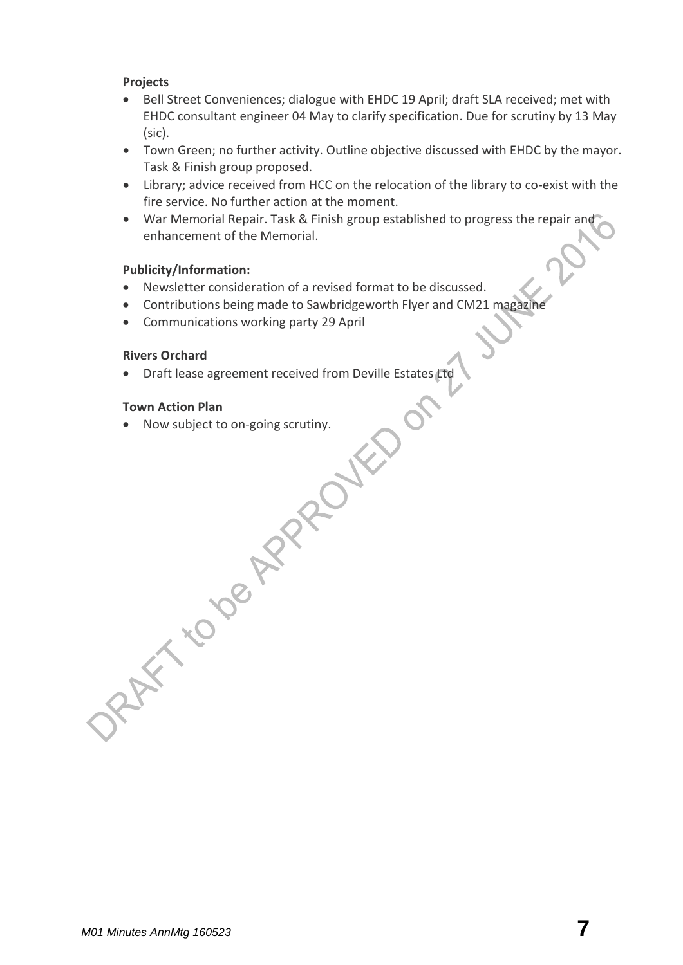#### **Projects**

- Bell Street Conveniences; dialogue with EHDC 19 April; draft SLA received; met with EHDC consultant engineer 04 May to clarify specification. Due for scrutiny by 13 May (sic).
- Town Green; no further activity. Outline objective discussed with EHDC by the mayor. Task & Finish group proposed.
- Library; advice received from HCC on the relocation of the library to co-exist with the fire service. No further action at the moment.
- War Memorial Repair. Task & Finish group established to progress the repair and enhancement of the Memorial.

#### **Publicity/Information:**

- Newsletter consideration of a revised format to be discussed.
- Contributions being made to Sawbridgeworth Flyer and CM21 magazine
- Communications working party 29 April

#### **Rivers Orchard**

• Draft lease agreement received from Deville Estates Ltd

#### **Town Action Plan**

Now subject to on-going scrutiny.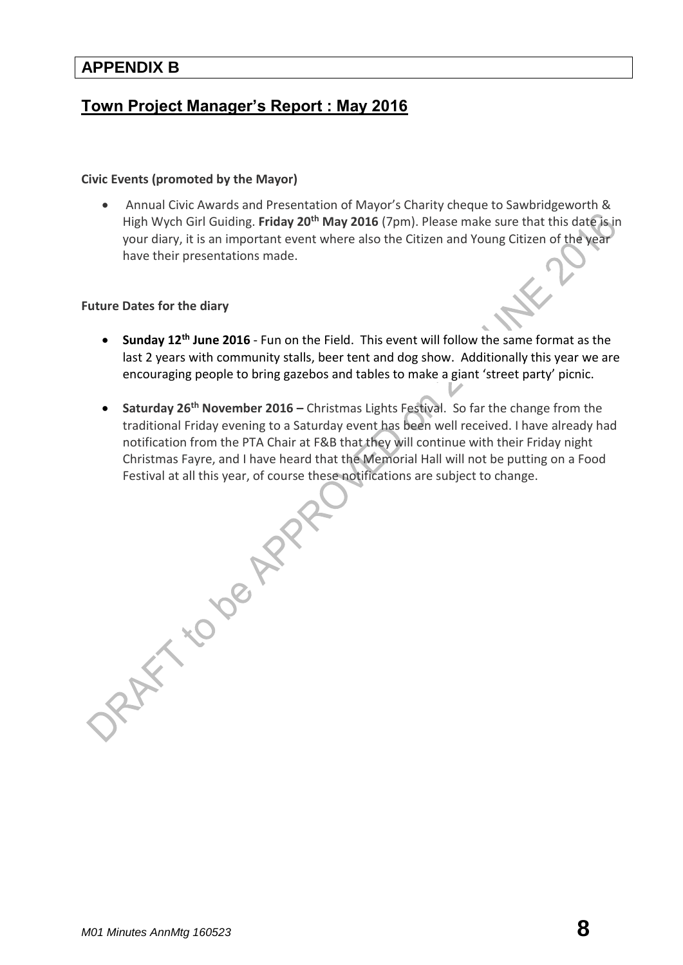### **APPENDIX B**

# **Town Project Manager's Report : May 2016**

#### **[Civic Events \(promoted by the Mayor\)](http://www.sawbridgeworth-tc.gov.uk/town-council/the-mayor)**

DRAFT TO DE APPR

 Annual Civic Awards and Presentation of Mayor's Charity cheque to Sawbridgeworth & High Wych Girl Guiding. **Friday 20th May 2016** (7pm). Please make sure that this date is in your diary, it is an important event where also the Citizen and Young Citizen of the year have their presentations made.

#### **Future Dates for the diary**

- **Sunday 12th June 2016** Fun on the Field. This event will follow the same format as the last 2 years with community stalls, beer tent and dog show. Additionally this year we are encouraging people to bring gazebos and tables to make a giant 'street party' picnic.
- **Saturday 26th November 2016 –** Christmas Lights Festival. So far the change from the traditional Friday evening to a Saturday event has been well received. I have already had notification from the PTA Chair at F&B that they will continue with their Friday night Christmas Fayre, and I have heard that the Memorial Hall will not be putting on a Food Festival at all this year, of course these notifications are subject to change.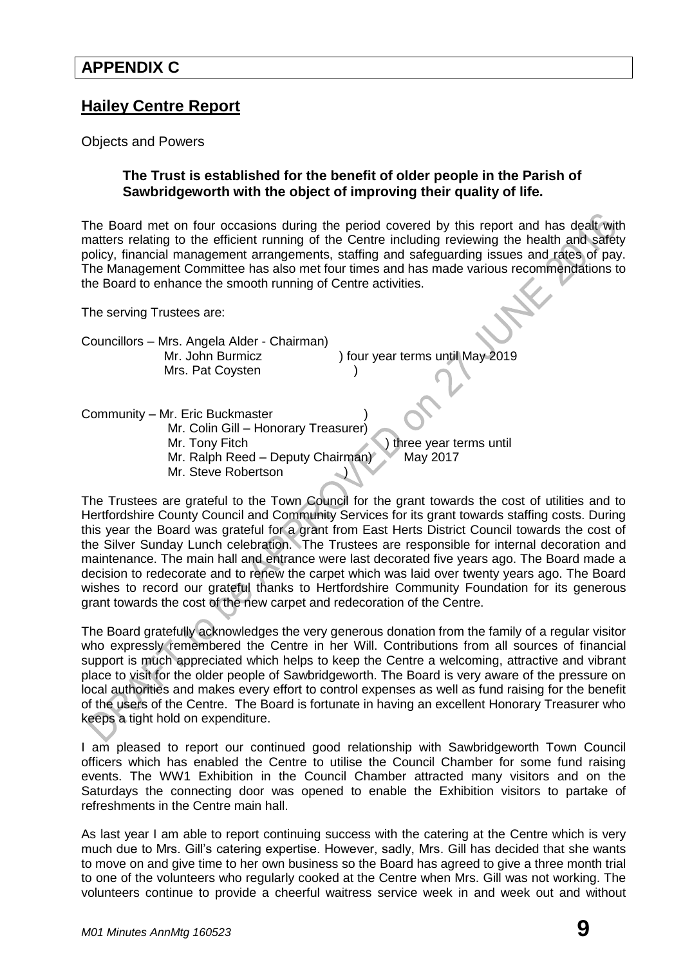# **Hailey Centre Report**

Objects and Powers

#### **The Trust is established for the benefit of older people in the Parish of Sawbridgeworth with the object of improving their quality of life.**

The Board met on four occasions during the period covered by this report and has dealt with matters relating to the efficient running of the Centre including reviewing the health and safety policy, financial management arrangements, staffing and safeguarding issues and rates of pay. The Management Committee has also met four times and has made various recommendations to the Board to enhance the smooth running of Centre activities.

The serving Trustees are:

Councillors – Mrs. Angela Alder - Chairman) Mr. John Burmicz ) four year terms until May 2019 Mrs. Pat Coysten

Community – Mr. Eric Buckmaster ) Mr. Colin Gill – Honorary Treasurer) Mr. Tony Fitch **Internal Internal Internal Internal Internal Internal Internal Internal Internal Internal Internal Internal Internal Internal Internal Internal Internal Internal Internal Internal Internal Internal Internal** Mr. Ralph Reed – Deputy Chairman) May 2017 Mr. Steve Robertson

The Trustees are grateful to the Town Council for the grant towards the cost of utilities and to Hertfordshire County Council and Community Services for its grant towards staffing costs. During this year the Board was grateful for a grant from East Herts District Council towards the cost of the Silver Sunday Lunch celebration. The Trustees are responsible for internal decoration and maintenance. The main hall and entrance were last decorated five years ago. The Board made a decision to redecorate and to renew the carpet which was laid over twenty years ago. The Board wishes to record our grateful thanks to Hertfordshire Community Foundation for its generous grant towards the cost of the new carpet and redecoration of the Centre.

The Board gratefully acknowledges the very generous donation from the family of a regular visitor who expressly remembered the Centre in her Will. Contributions from all sources of financial support is much appreciated which helps to keep the Centre a welcoming, attractive and vibrant place to visit for the older people of Sawbridgeworth. The Board is very aware of the pressure on local authorities and makes every effort to control expenses as well as fund raising for the benefit of the users of the Centre. The Board is fortunate in having an excellent Honorary Treasurer who keeps a tight hold on expenditure.

I am pleased to report our continued good relationship with Sawbridgeworth Town Council officers which has enabled the Centre to utilise the Council Chamber for some fund raising events. The WW1 Exhibition in the Council Chamber attracted many visitors and on the Saturdays the connecting door was opened to enable the Exhibition visitors to partake of refreshments in the Centre main hall.

As last year I am able to report continuing success with the catering at the Centre which is very much due to Mrs. Gill's catering expertise. However, sadly, Mrs. Gill has decided that she wants to move on and give time to her own business so the Board has agreed to give a three month trial to one of the volunteers who regularly cooked at the Centre when Mrs. Gill was not working. The volunteers continue to provide a cheerful waitress service week in and week out and without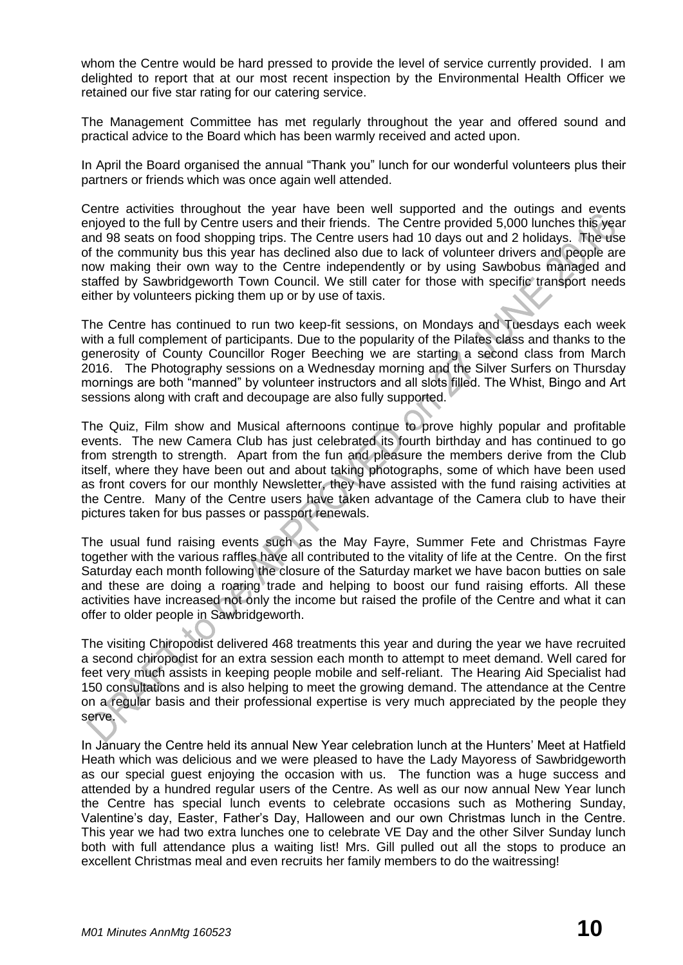whom the Centre would be hard pressed to provide the level of service currently provided. I am delighted to report that at our most recent inspection by the Environmental Health Officer we retained our five star rating for our catering service.

The Management Committee has met regularly throughout the year and offered sound and practical advice to the Board which has been warmly received and acted upon.

In April the Board organised the annual "Thank you" lunch for our wonderful volunteers plus their partners or friends which was once again well attended.

Centre activities throughout the year have been well supported and the outings and events enjoyed to the full by Centre users and their friends. The Centre provided 5,000 lunches this year and 98 seats on food shopping trips. The Centre users had 10 days out and 2 holidays. The use of the community bus this year has declined also due to lack of volunteer drivers and people are now making their own way to the Centre independently or by using Sawbobus managed and staffed by Sawbridgeworth Town Council. We still cater for those with specific transport needs either by volunteers picking them up or by use of taxis.

The Centre has continued to run two keep-fit sessions, on Mondays and Tuesdays each week with a full complement of participants. Due to the popularity of the Pilates class and thanks to the generosity of County Councillor Roger Beeching we are starting a second class from March 2016. The Photography sessions on a Wednesday morning and the Silver Surfers on Thursday mornings are both "manned" by volunteer instructors and all slots filled. The Whist, Bingo and Art sessions along with craft and decoupage are also fully supported.

The Quiz, Film show and Musical afternoons continue to prove highly popular and profitable events. The new Camera Club has just celebrated its fourth birthday and has continued to go from strength to strength. Apart from the fun and pleasure the members derive from the Club itself, where they have been out and about taking photographs, some of which have been used as front covers for our monthly Newsletter, they have assisted with the fund raising activities at the Centre. Many of the Centre users have taken advantage of the Camera club to have their pictures taken for bus passes or passport renewals.

The usual fund raising events such as the May Fayre, Summer Fete and Christmas Fayre together with the various raffles have all contributed to the vitality of life at the Centre. On the first Saturday each month following the closure of the Saturday market we have bacon butties on sale and these are doing a roaring trade and helping to boost our fund raising efforts. All these activities have increased not only the income but raised the profile of the Centre and what it can offer to older people in Sawbridgeworth.

The visiting Chiropodist delivered 468 treatments this year and during the year we have recruited a second chiropodist for an extra session each month to attempt to meet demand. Well cared for feet very much assists in keeping people mobile and self-reliant. The Hearing Aid Specialist had 150 consultations and is also helping to meet the growing demand. The attendance at the Centre on a regular basis and their professional expertise is very much appreciated by the people they serve.

In January the Centre held its annual New Year celebration lunch at the Hunters' Meet at Hatfield Heath which was delicious and we were pleased to have the Lady Mayoress of Sawbridgeworth as our special guest enjoying the occasion with us. The function was a huge success and attended by a hundred regular users of the Centre. As well as our now annual New Year lunch the Centre has special lunch events to celebrate occasions such as Mothering Sunday, Valentine's day, Easter, Father's Day, Halloween and our own Christmas lunch in the Centre. This year we had two extra lunches one to celebrate VE Day and the other Silver Sunday lunch both with full attendance plus a waiting list! Mrs. Gill pulled out all the stops to produce an excellent Christmas meal and even recruits her family members to do the waitressing!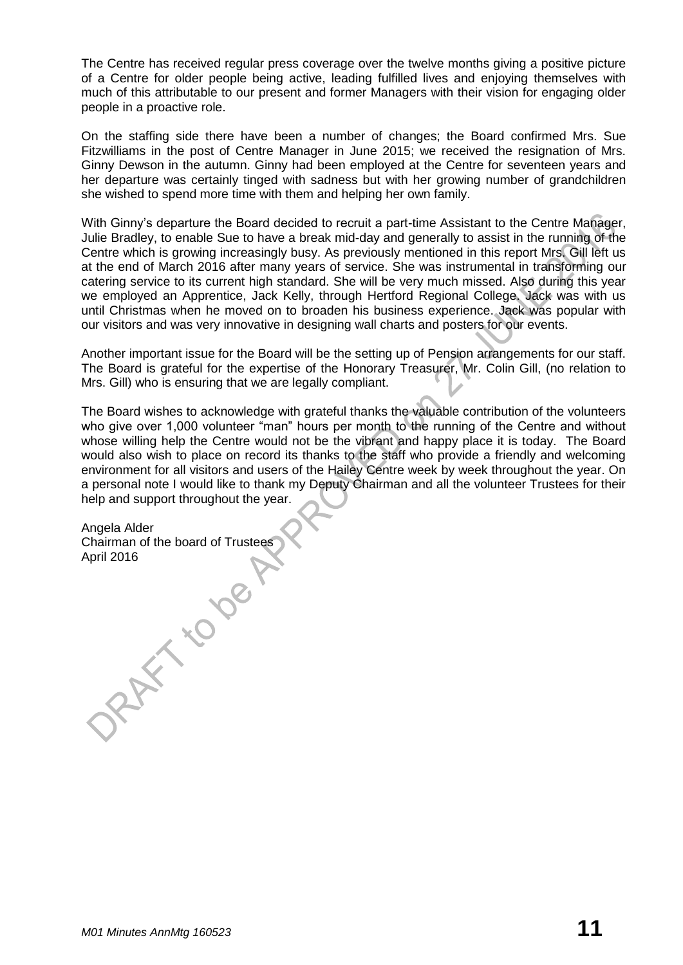The Centre has received regular press coverage over the twelve months giving a positive picture of a Centre for older people being active, leading fulfilled lives and enjoying themselves with much of this attributable to our present and former Managers with their vision for engaging older people in a proactive role.

On the staffing side there have been a number of changes; the Board confirmed Mrs. Sue Fitzwilliams in the post of Centre Manager in June 2015; we received the resignation of Mrs. Ginny Dewson in the autumn. Ginny had been employed at the Centre for seventeen years and her departure was certainly tinged with sadness but with her growing number of grandchildren she wished to spend more time with them and helping her own family.

With Ginny's departure the Board decided to recruit a part-time Assistant to the Centre Manager, Julie Bradley, to enable Sue to have a break mid-day and generally to assist in the running of the Centre which is growing increasingly busy. As previously mentioned in this report Mrs. Gill left us at the end of March 2016 after many years of service. She was instrumental in transforming our catering service to its current high standard. She will be very much missed. Also during this year we employed an Apprentice, Jack Kelly, through Hertford Regional College. Jack was with us until Christmas when he moved on to broaden his business experience. Jack was popular with our visitors and was very innovative in designing wall charts and posters for our events.

Another important issue for the Board will be the setting up of Pension arrangements for our staff. The Board is grateful for the expertise of the Honorary Treasurer, Mr. Colin Gill, (no relation to Mrs. Gill) who is ensuring that we are legally compliant.

The Board wishes to acknowledge with grateful thanks the valuable contribution of the volunteers who give over 1,000 volunteer "man" hours per month to the running of the Centre and without whose willing help the Centre would not be the vibrant and happy place it is today. The Board would also wish to place on record its thanks to the staff who provide a friendly and welcoming environment for all visitors and users of the Hailey Centre week by week throughout the year. On a personal note I would like to thank my Deputy Chairman and all the volunteer Trustees for their help and support throughout the year.

Angela Alder Chairman of the board of Trustees<br>April 2016<br>Chairman of the board of Trustees April 2016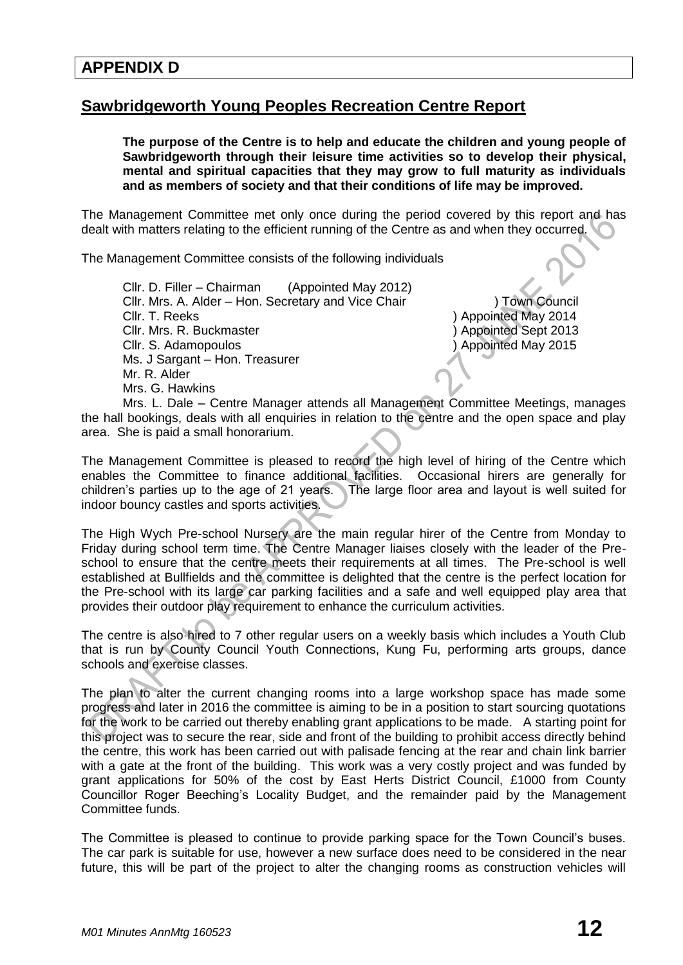# **Sawbridgeworth Young Peoples Recreation Centre Report**

**The purpose of the Centre is to help and educate the children and young people of Sawbridgeworth through their leisure time activities so to develop their physical, mental and spiritual capacities that they may grow to full maturity as individuals and as members of society and that their conditions of life may be improved.**

The Management Committee met only once during the period covered by this report and has dealt with matters relating to the efficient running of the Centre as and when they occurred.

The Management Committee consists of the following individuals

Cllr. D. Filler – Chairman (Appointed May 2012) Cllr. Mrs. A. Alder – Hon. Secretary and Vice Chair ) Town Council Cllr. T. Reeks ) Appointed May 2014 Cllr. Mrs. R. Buckmaster ) Appointed Sept 2013 Cllr. S. Adamopoulos ) Appointed May 2015 Ms. J Sargant – Hon. Treasurer Mr. R. Alder Mrs. G. Hawkins

Mrs. L. Dale – Centre Manager attends all Management Committee Meetings, manages the hall bookings, deals with all enquiries in relation to the centre and the open space and play area. She is paid a small honorarium.

The Management Committee is pleased to record the high level of hiring of the Centre which enables the Committee to finance additional facilities. Occasional hirers are generally for children's parties up to the age of 21 years. The large floor area and layout is well suited for indoor bouncy castles and sports activities.

The High Wych Pre-school Nursery are the main regular hirer of the Centre from Monday to Friday during school term time. The Centre Manager liaises closely with the leader of the Preschool to ensure that the centre meets their requirements at all times. The Pre-school is well established at Bullfields and the committee is delighted that the centre is the perfect location for the Pre-school with its large car parking facilities and a safe and well equipped play area that provides their outdoor play requirement to enhance the curriculum activities.

The centre is also hired to 7 other regular users on a weekly basis which includes a Youth Club that is run by County Council Youth Connections, Kung Fu, performing arts groups, dance schools and exercise classes.

The plan to alter the current changing rooms into a large workshop space has made some progress and later in 2016 the committee is aiming to be in a position to start sourcing quotations for the work to be carried out thereby enabling grant applications to be made. A starting point for this project was to secure the rear, side and front of the building to prohibit access directly behind the centre, this work has been carried out with palisade fencing at the rear and chain link barrier with a gate at the front of the building. This work was a very costly project and was funded by grant applications for 50% of the cost by East Herts District Council, £1000 from County Councillor Roger Beeching's Locality Budget, and the remainder paid by the Management Committee funds.

The Committee is pleased to continue to provide parking space for the Town Council's buses. The car park is suitable for use, however a new surface does need to be considered in the near future, this will be part of the project to alter the changing rooms as construction vehicles will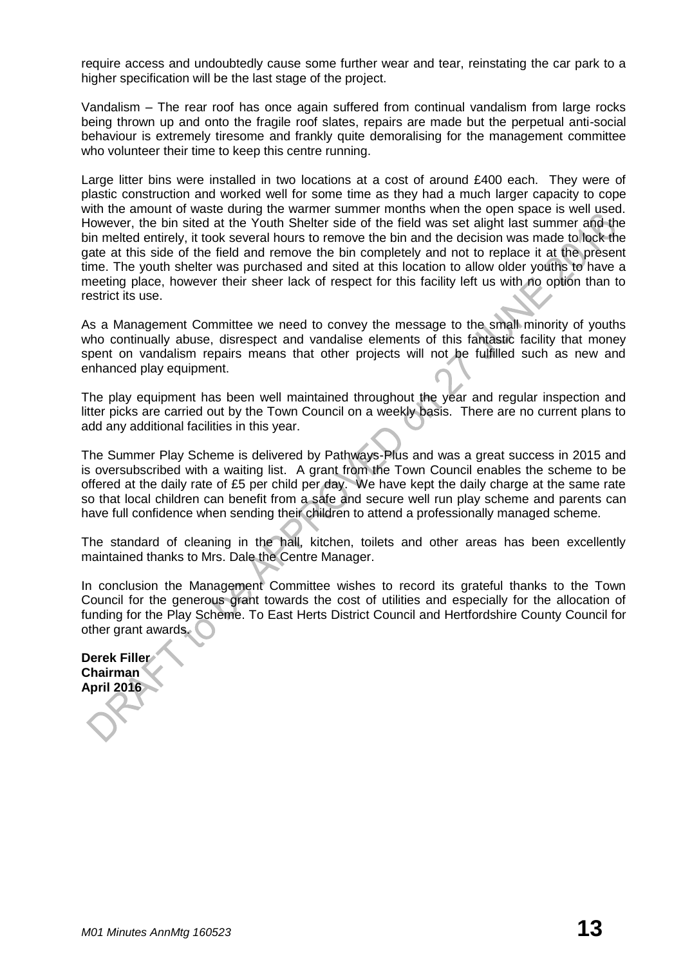require access and undoubtedly cause some further wear and tear, reinstating the car park to a higher specification will be the last stage of the project.

Vandalism – The rear roof has once again suffered from continual vandalism from large rocks being thrown up and onto the fragile roof slates, repairs are made but the perpetual anti-social behaviour is extremely tiresome and frankly quite demoralising for the management committee who volunteer their time to keep this centre running.

Large litter bins were installed in two locations at a cost of around £400 each. They were of plastic construction and worked well for some time as they had a much larger capacity to cope with the amount of waste during the warmer summer months when the open space is well used. However, the bin sited at the Youth Shelter side of the field was set alight last summer and the bin melted entirely, it took several hours to remove the bin and the decision was made to lock the gate at this side of the field and remove the bin completely and not to replace it at the present time. The youth shelter was purchased and sited at this location to allow older youths to have a meeting place, however their sheer lack of respect for this facility left us with no option than to restrict its use.

As a Management Committee we need to convey the message to the small minority of youths who continually abuse, disrespect and vandalise elements of this fantastic facility that money spent on vandalism repairs means that other projects will not be fulfilled such as new and enhanced play equipment.

The play equipment has been well maintained throughout the year and regular inspection and litter picks are carried out by the Town Council on a weekly basis. There are no current plans to add any additional facilities in this year.

The Summer Play Scheme is delivered by Pathways-Plus and was a great success in 2015 and is oversubscribed with a waiting list. A grant from the Town Council enables the scheme to be offered at the daily rate of £5 per child per day. We have kept the daily charge at the same rate so that local children can benefit from a safe and secure well run play scheme and parents can have full confidence when sending their children to attend a professionally managed scheme.

The standard of cleaning in the hall, kitchen, toilets and other areas has been excellently maintained thanks to Mrs. Dale the Centre Manager.

In conclusion the Management Committee wishes to record its grateful thanks to the Town Council for the generous grant towards the cost of utilities and especially for the allocation of funding for the Play Scheme. To East Herts District Council and Hertfordshire County Council for other grant awards.

**Derek Filler Chairman April 2016**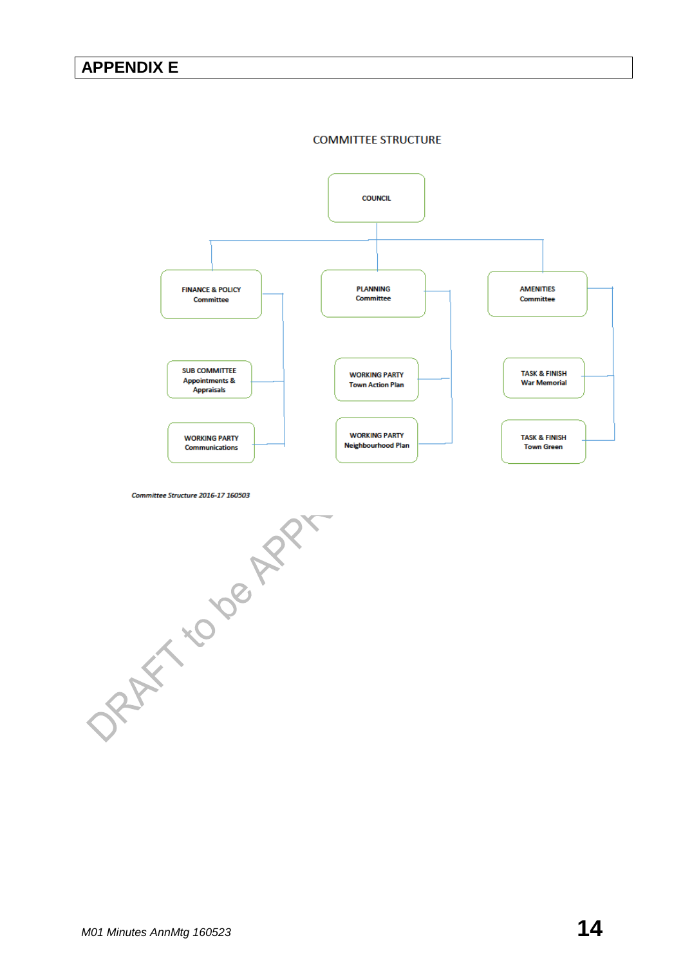### **APPENDIX E**

#### **COMMITTEE STRUCTURE**



DRAFT TO DE APPLANT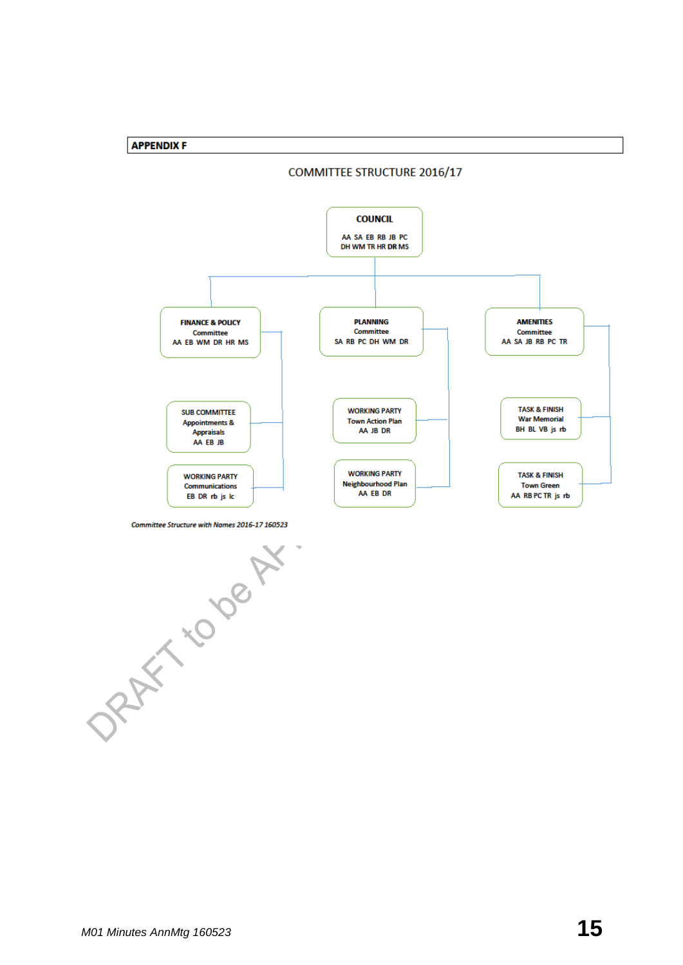



Committee Structure with Names 2016-17 160523

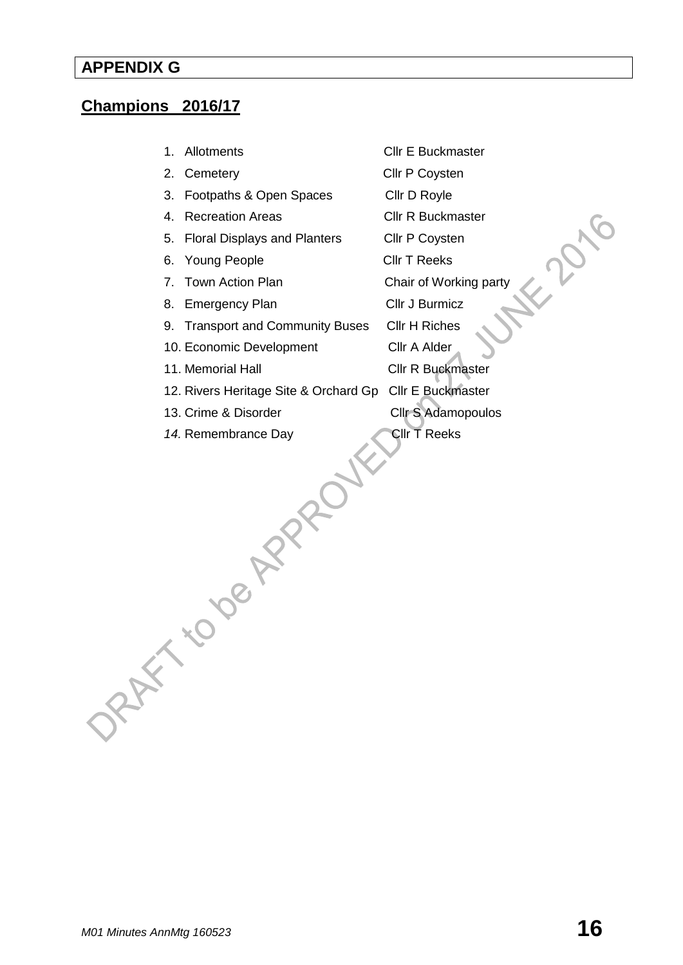# **APPENDIX G**

# **Champions 2016/17**

|      | 2. Cemetery                           | Cllr P Coysten           |
|------|---------------------------------------|--------------------------|
| 3.   | Footpaths & Open Spaces               | Cllr D Royle             |
| 4.   | <b>Recreation Areas</b>               | Cllr R Buckmaster        |
| 5.   | <b>Floral Displays and Planters</b>   | Cllr P Coysten           |
| 6.   | <b>Young People</b>                   | <b>Cllr T Reeks</b>      |
| 7.   | Town Action Plan                      | Chair of Working party   |
| 8.   | <b>Emergency Plan</b>                 | Cllr J Burmicz           |
|      | 9. Transport and Community Buses      | Cllr H Riches            |
|      | 10. Economic Development              | Cllr A Alder             |
|      | 11. Memorial Hall                     | <b>Cllr R Buckmaster</b> |
|      | 12. Rivers Heritage Site & Orchard Gp | Cllr E Buckmaster        |
|      | 13. Crime & Disorder                  | Cllr S Adamopoulos       |
|      | 14. Remembrance Day                   | Cllr T Reeks             |
| ORAY |                                       |                          |

1. Allotments Cllr E Buckmaster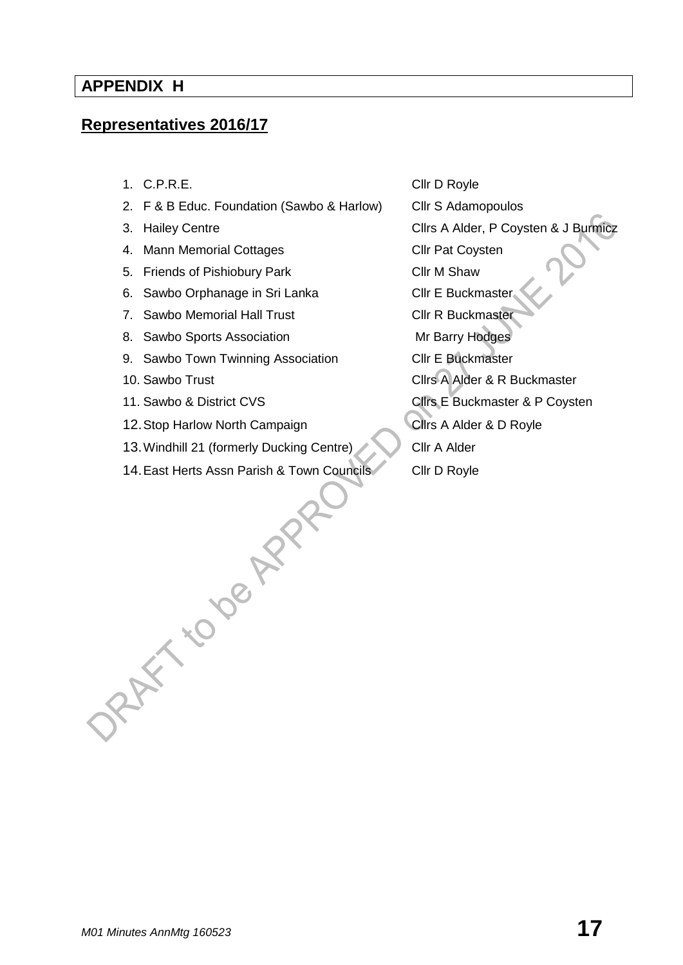### **APPENDIX H**

# **Representatives 2016/17**

- 
- 2. F & B Educ. Foundation (Sawbo & Harlow) Cllr S Adamopoulos
- 
- 4. Mann Memorial Cottages **Cli**r Pat Coysten
- 5. Friends of Pishiobury Park Cllr M Shaw
- 6. Sawbo Orphanage in Sri Lanka Cllr E Buckmaster
- 7. Sawbo Memorial Hall Trust Cllr R Buckmaster
- 8. Sawbo Sports Association Mr Barry Hodges
- 9. Sawbo Town Twinning Association Cllr E Buckmaster
- 
- 
- 12. Stop Harlow North Campaign Clirs A Alder & D Royle
- 13. Windhill 21 (formerly Ducking Centre) Cllr A Alder
- 14. East Herts Assn Parish & Town Councils Cllr D Royle<br>Clir D Royle<br>Reported to Clive and Clir D Royle

1. C.P.R.E. CIT D Royle 3. Hailey Centre **Cling A Alder, P Coysten & J Burmicz** 10. Sawbo Trust **Cllrs** A Alder & R Buckmaster 11. Sawbo & District CVS Clirs E Buckmaster & P Coysten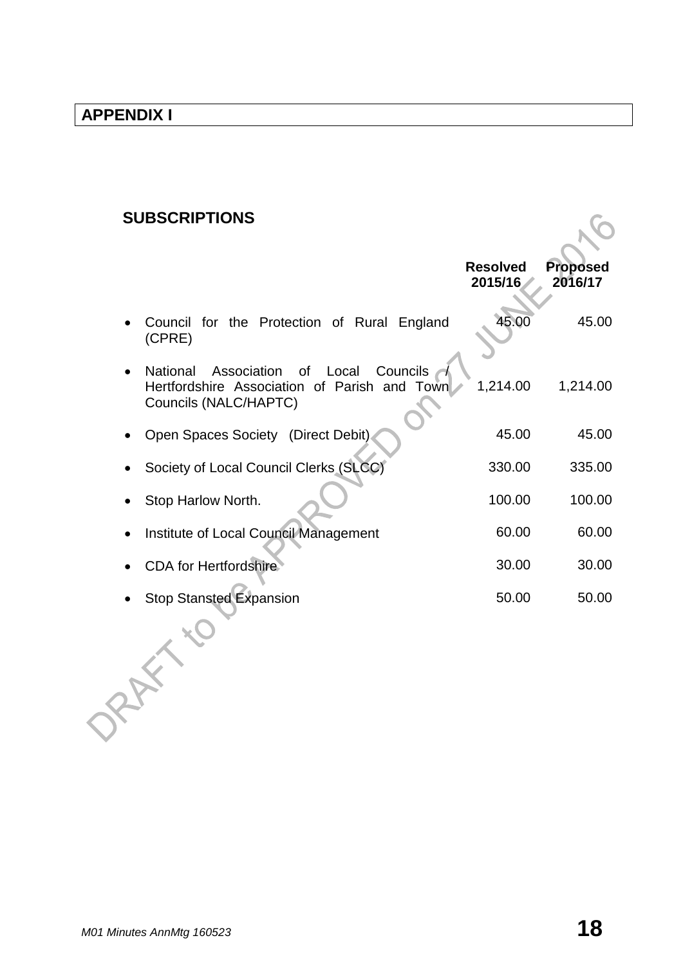# **SUBSCRIPTIONS**

| <b>SUBSCRIPTIONS</b>                                                                                                     |                            |                            |
|--------------------------------------------------------------------------------------------------------------------------|----------------------------|----------------------------|
|                                                                                                                          | <b>Resolved</b><br>2015/16 | <b>Proposed</b><br>2016/17 |
| Council for the Protection of Rural England<br>(CPRE)                                                                    | 45.00                      | 45.00                      |
| Association of Local<br>Councils<br>National<br>Hertfordshire Association of Parish and<br>Town<br>Councils (NALC/HAPTC) | 1,214.00                   | 1,214.00                   |
| Open Spaces Society (Direct Debit).                                                                                      | 45.00                      | 45.00                      |
| Society of Local Council Clerks (SLCC)                                                                                   | 330.00                     | 335.00                     |
| Stop Harlow North.                                                                                                       | 100.00                     | 100.00                     |
| Institute of Local Council Management                                                                                    | 60.00                      | 60.00                      |
| <b>CDA for Hertfordshire</b>                                                                                             | 30.00                      | 30.00                      |
| <b>Stop Stansted Expansion</b>                                                                                           | 50.00                      | 50.00                      |